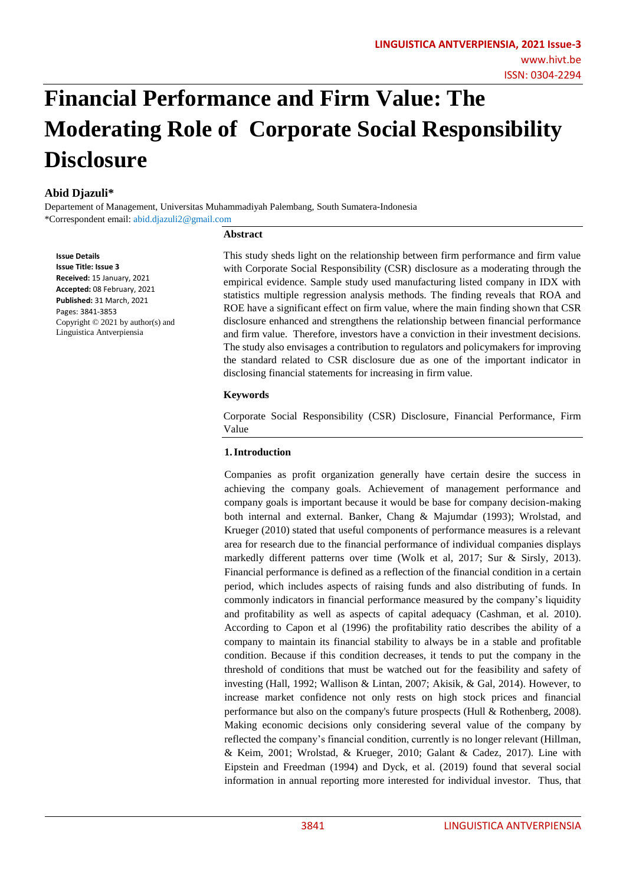# **Financial Performance and Firm Value: The Moderating Role of Corporate Social Responsibility Disclosure**

# **Abid Djazuli\***

Departement of Management, Universitas Muhammadiyah Palembang, South Sumatera-Indonesia \*Correspondent email: abid.djazuli2@gmail.com

#### **Abstract**

**Issue Details Issue Title: Issue 3 Received:** 15 January, 2021 **Accepted:** 08 February, 2021 **Published:** 31 March, 2021 Pages: 3841-3853 Copyright © 2021 by author(s) and Linguistica Antverpiensia

This study sheds light on the relationship between firm performance and firm value with Corporate Social Responsibility (CSR) disclosure as a moderating through the empirical evidence. Sample study used manufacturing listed company in IDX with statistics multiple regression analysis methods. The finding reveals that ROA and ROE have a significant effect on firm value, where the main finding shown that CSR disclosure enhanced and strengthens the relationship between financial performance and firm value. Therefore, investors have a conviction in their investment decisions. The study also envisages a contribution to regulators and policymakers for improving the standard related to CSR disclosure due as one of the important indicator in disclosing financial statements for increasing in firm value.

# **Keywords**

Corporate Social Responsibility (CSR) Disclosure, Financial Performance, Firm Value

# **1.Introduction**

Companies as profit organization generally have certain desire the success in achieving the company goals. Achievement of management performance and company goals is important because it would be base for company decision-making both internal and external. Banker, Chang & Majumdar (1993); Wrolstad, and Krueger (2010) stated that useful components of performance measures is a relevant area for research due to the financial performance of individual companies displays markedly different patterns over time (Wolk et al, 2017; Sur & Sirsly, 2013). Financial performance is defined as a reflection of the financial condition in a certain period, which includes aspects of raising funds and also distributing of funds. In commonly indicators in financial performance measured by the company's liquidity and profitability as well as aspects of capital adequacy (Cashman, et al. 2010). According to Capon et al (1996) the profitability ratio describes the ability of a company to maintain its financial stability to always be in a stable and profitable condition. Because if this condition decreases, it tends to put the company in the threshold of conditions that must be watched out for the feasibility and safety of investing (Hall, 1992; Wallison & Lintan, 2007; Akisik, & Gal, 2014). However, to increase market confidence not only rests on high stock prices and financial performance but also on the company's future prospects (Hull & Rothenberg, 2008). Making economic decisions only considering several value of the company by reflected the company's financial condition, currently is no longer relevant (Hillman, & Keim, 2001; Wrolstad, & Krueger, 2010; Galant & Cadez, 2017). Line with Eipstein and Freedman (1994) and Dyck, et al. (2019) found that several social information in annual reporting more interested for individual investor. Thus, that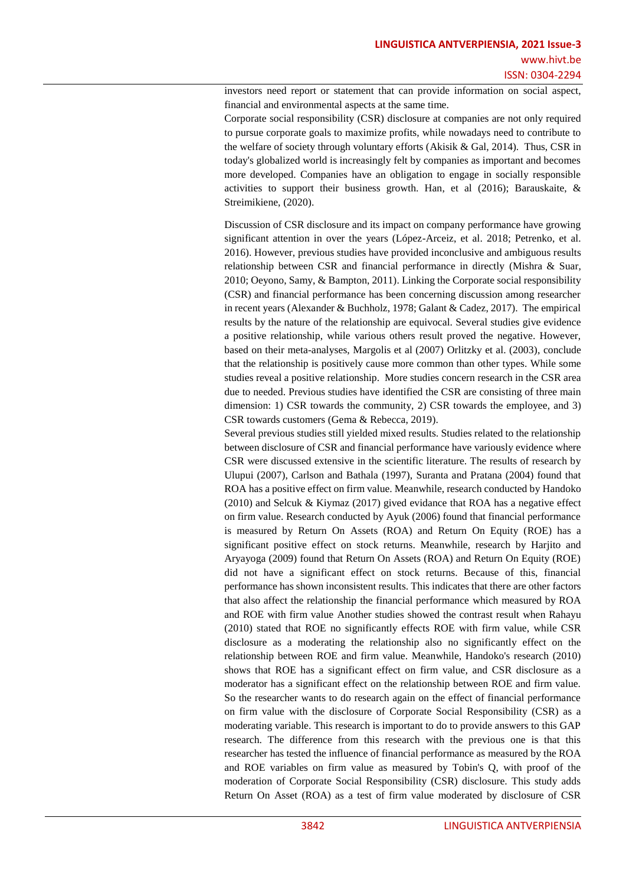investors need report or statement that can provide information on social aspect, financial and environmental aspects at the same time.

Corporate social responsibility (CSR) disclosure at companies are not only required to pursue corporate goals to maximize profits, while nowadays need to contribute to the welfare of society through voluntary efforts (Akisik & Gal, 2014). Thus, CSR in today's globalized world is increasingly felt by companies as important and becomes more developed. Companies have an obligation to engage in socially responsible activities to support their business growth. Han, et al (2016); Barauskaite, & Streimikiene, (2020).

Discussion of CSR disclosure and its impact on company performance have growing significant attention in over the years (López-Arceiz, et al. 2018; Petrenko, et al. 2016). However, previous studies have provided inconclusive and ambiguous results relationship between CSR and financial performance in directly (Mishra & Suar, 2010; Oeyono, Samy, & Bampton, 2011). Linking the Corporate social responsibility (CSR) and financial performance has been concerning discussion among researcher in recent years (Alexander & Buchholz, 1978; Galant & Cadez, 2017). The empirical results by the nature of the relationship are equivocal. Several studies give evidence a positive relationship, while various others result proved the negative. However, based on their meta-analyses, Margolis et al (2007) Orlitzky et al. (2003), conclude that the relationship is positively cause more common than other types. While some studies reveal a positive relationship. More studies concern research in the CSR area due to needed. Previous studies have identified the CSR are consisting of three main dimension: 1) CSR towards the community, 2) CSR towards the employee, and 3) CSR towards customers (Gema & Rebecca, 2019).

Several previous studies still yielded mixed results. Studies related to the relationship between disclosure of CSR and financial performance have variously evidence where CSR were discussed extensive in the scientific literature. The results of research by Ulupui (2007), Carlson and Bathala (1997), Suranta and Pratana (2004) found that ROA has a positive effect on firm value. Meanwhile, research conducted by Handoko (2010) and Selcuk & Kiymaz (2017) gived evidance that ROA has a negative effect on firm value. Research conducted by Ayuk (2006) found that financial performance is measured by Return On Assets (ROA) and Return On Equity (ROE) has a significant positive effect on stock returns. Meanwhile, research by Harjito and Aryayoga (2009) found that Return On Assets (ROA) and Return On Equity (ROE) did not have a significant effect on stock returns. Because of this, financial performance has shown inconsistent results. This indicates that there are other factors that also affect the relationship the financial performance which measured by ROA and ROE with firm value Another studies showed the contrast result when Rahayu (2010) stated that ROE no significantly effects ROE with firm value, while CSR disclosure as a moderating the relationship also no significantly effect on the relationship between ROE and firm value. Meanwhile, Handoko's research (2010) shows that ROE has a significant effect on firm value, and CSR disclosure as a moderator has a significant effect on the relationship between ROE and firm value. So the researcher wants to do research again on the effect of financial performance on firm value with the disclosure of Corporate Social Responsibility (CSR) as a moderating variable. This research is important to do to provide answers to this GAP research. The difference from this research with the previous one is that this researcher has tested the influence of financial performance as measured by the ROA and ROE variables on firm value as measured by Tobin's Q, with proof of the moderation of Corporate Social Responsibility (CSR) disclosure. This study adds Return On Asset (ROA) as a test of firm value moderated by disclosure of CSR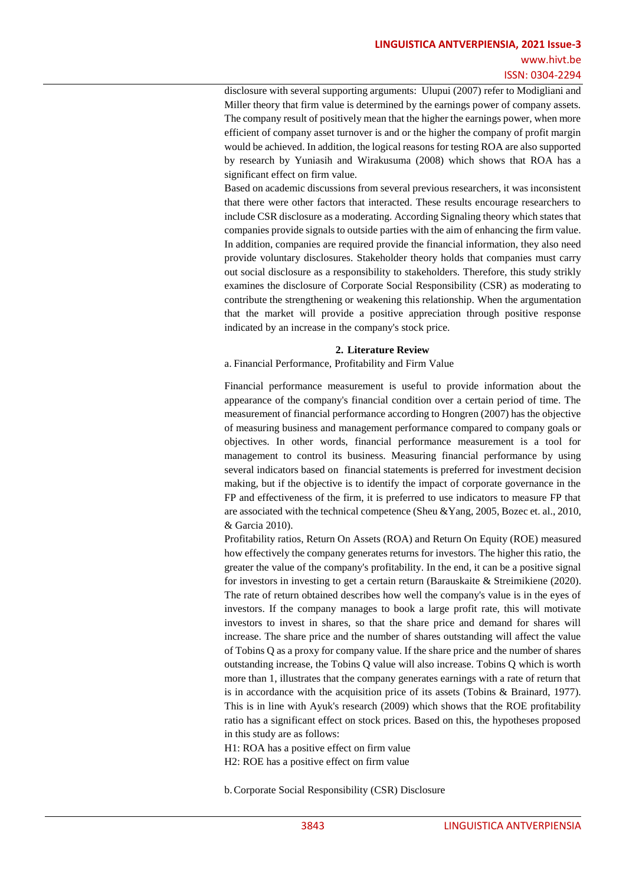disclosure with several supporting arguments: Ulupui (2007) refer to Modigliani and Miller theory that firm value is determined by the earnings power of company assets. The company result of positively mean that the higher the earnings power, when more efficient of company asset turnover is and or the higher the company of profit margin would be achieved. In addition, the logical reasons for testing ROA are also supported by research by Yuniasih and Wirakusuma (2008) which shows that ROA has a significant effect on firm value.

Based on academic discussions from several previous researchers, it was inconsistent that there were other factors that interacted. These results encourage researchers to include CSR disclosure as a moderating. According Signaling theory which states that companies provide signals to outside parties with the aim of enhancing the firm value. In addition, companies are required provide the financial information, they also need provide voluntary disclosures. Stakeholder theory holds that companies must carry out social disclosure as a responsibility to stakeholders. Therefore, this study strikly examines the disclosure of Corporate Social Responsibility (CSR) as moderating to contribute the strengthening or weakening this relationship. When the argumentation that the market will provide a positive appreciation through positive response indicated by an increase in the company's stock price.

## **2. Literature Review**

a. Financial Performance, Profitability and Firm Value

Financial performance measurement is useful to provide information about the appearance of the company's financial condition over a certain period of time. The measurement of financial performance according to Hongren (2007) has the objective of measuring business and management performance compared to company goals or objectives. In other words, financial performance measurement is a tool for management to control its business. Measuring financial performance by using several indicators based on financial statements is preferred for investment decision making, but if the objective is to identify the impact of corporate governance in the FP and effectiveness of the firm, it is preferred to use indicators to measure FP that are associated with the technical competence (Sheu &Yang, 2005, Bozec et. al., 2010, & Garcia 2010).

Profitability ratios, Return On Assets (ROA) and Return On Equity (ROE) measured how effectively the company generates returns for investors. The higher this ratio, the greater the value of the company's profitability. In the end, it can be a positive signal for investors in investing to get a certain return (Barauskaite & Streimikiene (2020). The rate of return obtained describes how well the company's value is in the eyes of investors. If the company manages to book a large profit rate, this will motivate investors to invest in shares, so that the share price and demand for shares will increase. The share price and the number of shares outstanding will affect the value of Tobins Q as a proxy for company value. If the share price and the number of shares outstanding increase, the Tobins Q value will also increase. Tobins Q which is worth more than 1, illustrates that the company generates earnings with a rate of return that is in accordance with the acquisition price of its assets (Tobins & Brainard, 1977). This is in line with Ayuk's research (2009) which shows that the ROE profitability ratio has a significant effect on stock prices. Based on this, the hypotheses proposed in this study are as follows:

H1: ROA has a positive effect on firm value

H2: ROE has a positive effect on firm value

b.Corporate Social Responsibility (CSR) Disclosure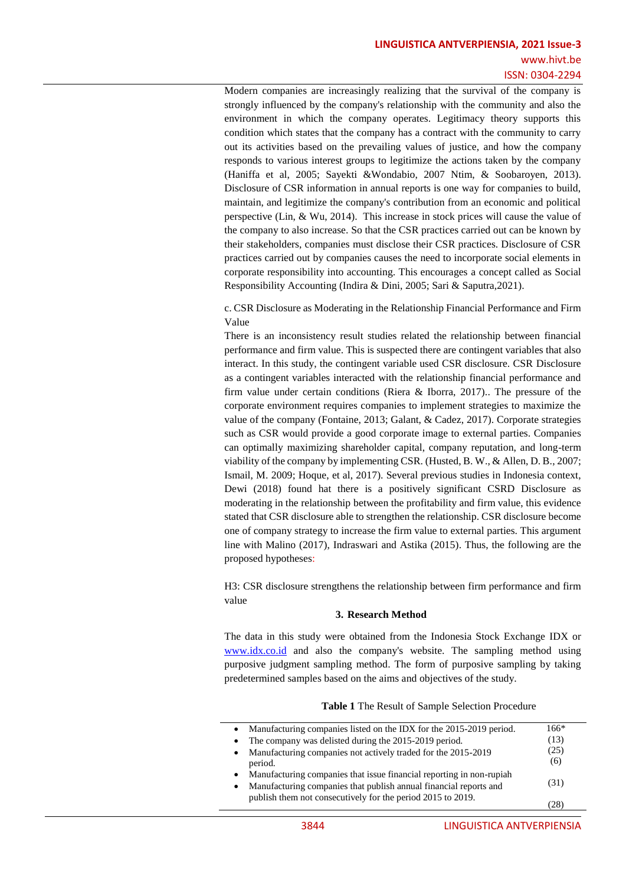Modern companies are increasingly realizing that the survival of the company is strongly influenced by the company's relationship with the community and also the environment in which the company operates. Legitimacy theory supports this condition which states that the company has a contract with the community to carry out its activities based on the prevailing values of justice, and how the company responds to various interest groups to legitimize the actions taken by the company (Haniffa et al, 2005; Sayekti &Wondabio, 2007 Ntim, & Soobaroyen, 2013). Disclosure of CSR information in annual reports is one way for companies to build, maintain, and legitimize the company's contribution from an economic and political perspective (Lin, & Wu, 2014). This increase in stock prices will cause the value of the company to also increase. So that the CSR practices carried out can be known by their stakeholders, companies must disclose their CSR practices. Disclosure of CSR practices carried out by companies causes the need to incorporate social elements in corporate responsibility into accounting. This encourages a concept called as Social Responsibility Accounting (Indira & Dini, 2005; Sari & Saputra,2021).

c. CSR Disclosure as Moderating in the Relationship Financial Performance and Firm Value

There is an inconsistency result studies related the relationship between financial performance and firm value. This is suspected there are contingent variables that also interact. In this study, the contingent variable used CSR disclosure. CSR Disclosure as a contingent variables interacted with the relationship financial performance and firm value under certain conditions (Riera & Iborra, 2017).. The pressure of the corporate environment requires companies to implement strategies to maximize the value of the company (Fontaine, 2013; Galant, & Cadez, 2017). Corporate strategies such as CSR would provide a good corporate image to external parties. Companies can optimally maximizing shareholder capital, company reputation, and long-term viability of the company by implementing CSR. (Husted, B. W., & Allen, D. B., 2007; Ismail, M. 2009; Hoque, et al, 2017). Several previous studies in Indonesia context, Dewi (2018) found hat there is a positively significant CSRD Disclosure as moderating in the relationship between the profitability and firm value, this evidence stated that CSR disclosure able to strengthen the relationship. CSR disclosure become one of company strategy to increase the firm value to external parties. This argument line with Malino (2017), Indraswari and Astika (2015). Thus, the following are the proposed hypotheses:

H3: CSR disclosure strengthens the relationship between firm performance and firm value

## **3. Research Method**

The data in this study were obtained from the Indonesia Stock Exchange IDX or [www.idx.co.id](http://www.idx.co.id/) and also the company's website. The sampling method using purposive judgment sampling method. The form of purposive sampling by taking predetermined samples based on the aims and objectives of the study.

|           | • Manufacturing companies listed on the IDX for the 2015-2019 period. | $166*$ |
|-----------|-----------------------------------------------------------------------|--------|
| $\bullet$ | The company was delisted during the 2015-2019 period.                 | (13)   |
| $\bullet$ | Manufacturing companies not actively traded for the 2015-2019         | (25)   |
|           | period.                                                               | (6)    |
| $\bullet$ | Manufacturing companies that issue financial reporting in non-rupiah  |        |
| $\bullet$ | Manufacturing companies that publish annual financial reports and     | (31)   |
|           | publish them not consecutively for the period 2015 to 2019.           |        |
|           |                                                                       | 128    |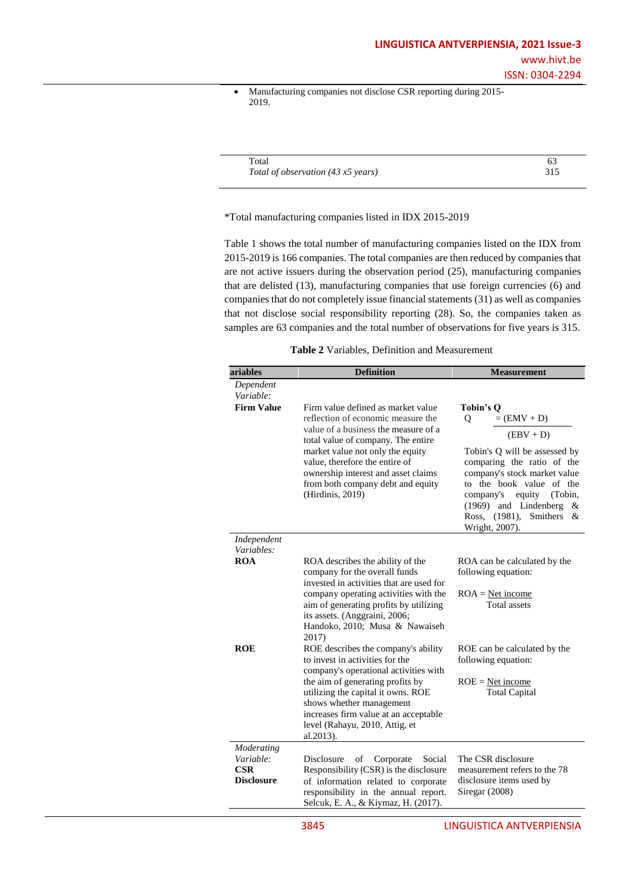• Manufacturing companies not disclose CSR reporting during 2015- 2019.

| Total                              |     |
|------------------------------------|-----|
| Total of observation (43 x5 years) | 315 |

#### \*Total manufacturing companies listed in IDX 2015-2019

Table 1 shows the total number of manufacturing companies listed on the IDX from 2015-2019 is 166 companies. The total companies are then reduced by companies that are not active issuers during the observation period (25), manufacturing companies that are delisted (13), manufacturing companies that use foreign currencies (6) and companies that do not completely issue financial statements (31) as well as companies that not disclose social responsibility reporting (28). So, the companies taken as samples are 63 companies and the total number of observations for five years is 315.

| Table 2 Variables, Definition and Measurement |  |  |
|-----------------------------------------------|--|--|
|-----------------------------------------------|--|--|

| ariables                       | <b>Definition</b>                                                                                                                                                                                                                   | <b>Measurement</b>                                                                                                                                                                                                                                    |  |
|--------------------------------|-------------------------------------------------------------------------------------------------------------------------------------------------------------------------------------------------------------------------------------|-------------------------------------------------------------------------------------------------------------------------------------------------------------------------------------------------------------------------------------------------------|--|
| Dependent<br>Variable:         |                                                                                                                                                                                                                                     |                                                                                                                                                                                                                                                       |  |
| <b>Firm Value</b>              | Firm value defined as market value<br>reflection of economic measure the<br>value of a business the measure of a<br>total value of company. The entire                                                                              | Tobin's O<br>$=$ (EMV + D)<br>Q<br>$(EBV + D)$                                                                                                                                                                                                        |  |
|                                | market value not only the equity<br>value, therefore the entire of<br>ownership interest and asset claims<br>from both company debt and equity<br>(Hirdinis, 2019)                                                                  | Tobin's Q will be assessed by<br>comparing the ratio of the<br>company's stock market value<br>to the book value of the<br>equity<br>(Tobin,<br>company's<br>(1969) and Lindenberg<br>&<br>Ross, (1981),<br><b>Smithers</b><br>$\&$<br>Wright, 2007). |  |
| Independent<br>Variables:      |                                                                                                                                                                                                                                     |                                                                                                                                                                                                                                                       |  |
| <b>ROA</b>                     | ROA describes the ability of the<br>company for the overall funds<br>invested in activities that are used for                                                                                                                       | ROA can be calculated by the<br>following equation:                                                                                                                                                                                                   |  |
|                                | company operating activities with the<br>aim of generating profits by utilizing<br>its assets. (Anggraini, 2006;<br>Handoko, 2010; Musa & Nawaiseh<br>2017)                                                                         | $ROA = Net income$<br>Total assets                                                                                                                                                                                                                    |  |
| <b>ROE</b>                     | ROE describes the company's ability<br>to invest in activities for the                                                                                                                                                              | ROE can be calculated by the<br>following equation:                                                                                                                                                                                                   |  |
|                                | company's operational activities with<br>the aim of generating profits by<br>utilizing the capital it owns. ROE<br>shows whether management<br>increases firm value at an acceptable<br>level (Rahayu, 2010, Attig, et<br>al.2013). | $ROE = Net income$<br><b>Total Capital</b>                                                                                                                                                                                                            |  |
| Moderating                     |                                                                                                                                                                                                                                     |                                                                                                                                                                                                                                                       |  |
| Variable:                      | Disclosure<br>Social<br>οf<br>Corporate                                                                                                                                                                                             | The CSR disclosure                                                                                                                                                                                                                                    |  |
| $\bf CSR$<br><b>Disclosure</b> | Responsibility (CSR) is the disclosure<br>of information related to corporate<br>responsibility in the annual report.                                                                                                               | measurement refers to the 78<br>disclosure items used by<br>Siregar $(2008)$                                                                                                                                                                          |  |
|                                | Selcuk, E. A., & Kiymaz, H. (2017).                                                                                                                                                                                                 |                                                                                                                                                                                                                                                       |  |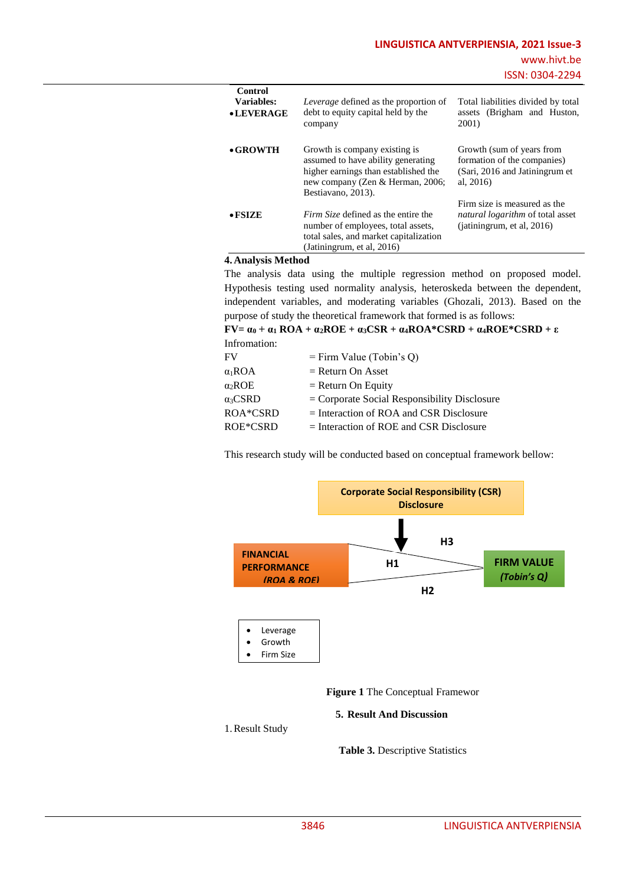| Control<br>Variables: | Leverage defined as the proportion of                                                                                                                                 | Total liabilities divided by total                                                                                 |
|-----------------------|-----------------------------------------------------------------------------------------------------------------------------------------------------------------------|--------------------------------------------------------------------------------------------------------------------|
| • LEVERAGE            | debt to equity capital held by the<br>company                                                                                                                         | assets (Brigham and Huston,<br>2001)                                                                               |
| $\bullet$ GROWTH      | Growth is company existing is<br>assumed to have ability generating<br>higher earnings than established the<br>new company (Zen & Herman, 2006;<br>Bestiavano, 2013). | Growth (sum of years from<br>formation of the companies)<br>(Sari, 2016 and Jatiningrum et<br>al, $2016$           |
| $\bullet$ FSIZE       | <i>Firm Size</i> defined as the entire the<br>number of employees, total assets,<br>total sales, and market capitalization<br>(Jatiningrum, et al, $2016$ )           | Firm size is measured as the<br><i>natural logarithm</i> of total asset<br>(i <sub>atining</sub> rum, et al, 2016) |

# **4. Analysis Method**

The analysis data using the multiple regression method on proposed model. Hypothesis testing used normality analysis, heteroskeda between the dependent, independent variables, and moderating variables (Ghozali, 2013). Based on the purpose of study the theoretical framework that formed is as follows:

**FV**=  $\alpha_0$  +  $\alpha_1$  **ROA** +  $\alpha_2$ **ROE** +  $\alpha_3$ **CSR** +  $\alpha_4$ **ROA**\***CSRD** +  $\alpha_4$ **ROE**\***CSRD** +  $\epsilon$ Infromation:

| FV                    | $=$ Firm Value (Tobin's Q)                     |
|-----------------------|------------------------------------------------|
| $\alpha_1$ ROA        | $=$ Return On Asset                            |
| $\alpha_2 \text{ROE}$ | $=$ Return On Equity                           |
| $\alpha_3$ CSRD       | $=$ Corporate Social Responsibility Disclosure |
| ROA*CSRD              | $=$ Interaction of ROA and CSR Disclosure      |
| ROE*CSRD              | $=$ Interaction of ROE and CSR Disclosure      |
|                       |                                                |

This research study will be conducted based on conceptual framework bellow:



**Figure 1** The Conceptual Framewor

#### **5. Result And Discussion**

1.Result Study

**Table 3.** Descriptive Statistics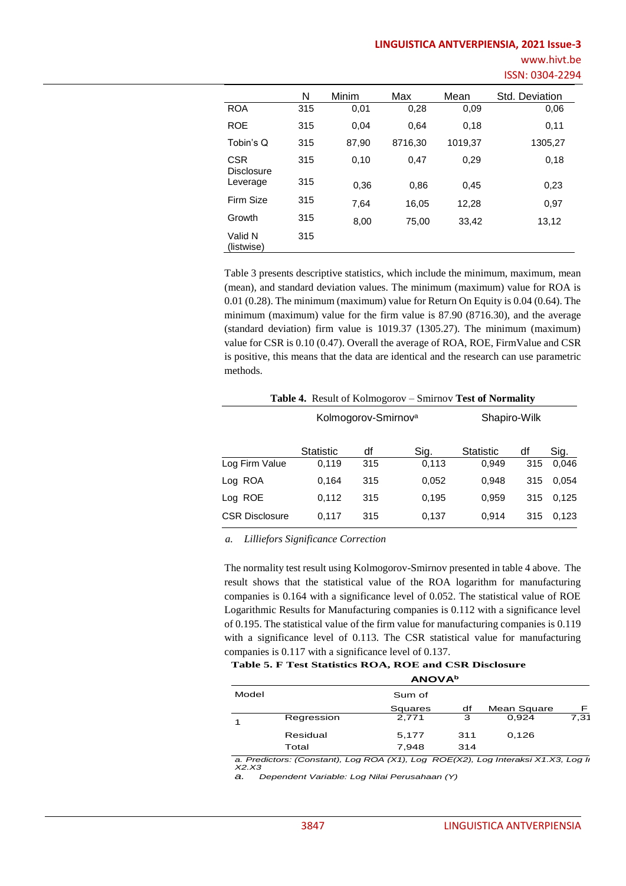|                                 | N   | Minim | Max     | Mean    | Std. Deviation |
|---------------------------------|-----|-------|---------|---------|----------------|
| <b>ROA</b>                      | 315 | 0,01  | 0,28    | 0,09    | 0,06           |
| <b>ROE</b>                      | 315 | 0,04  | 0.64    | 0,18    | 0,11           |
| Tobin's Q                       | 315 | 87,90 | 8716,30 | 1019,37 | 1305,27        |
| <b>CSR</b><br><b>Disclosure</b> | 315 | 0,10  | 0,47    | 0,29    | 0,18           |
| Leverage                        | 315 | 0,36  | 0,86    | 0,45    | 0,23           |
| Firm Size                       | 315 | 7.64  | 16,05   | 12,28   | 0,97           |
| Growth                          | 315 | 8,00  | 75,00   | 33,42   | 13,12          |
| Valid N<br>(listwise)           | 315 |       |         |         |                |

Table 3 presents descriptive statistics, which include the minimum, maximum, mean (mean), and standard deviation values. The minimum (maximum) value for ROA is 0.01 (0.28). The minimum (maximum) value for Return On Equity is 0.04 (0.64). The minimum (maximum) value for the firm value is 87.90 (8716.30), and the average (standard deviation) firm value is 1019.37 (1305.27). The minimum (maximum) value for CSR is 0.10 (0.47). Overall the average of ROA, ROE, FirmValue and CSR is positive, this means that the data are identical and the research can use parametric methods.

| <b>Table 4.</b> Result of Kolmogorov – Smirnov Test of Normality |                                 |     |       |              |     |       |  |
|------------------------------------------------------------------|---------------------------------|-----|-------|--------------|-----|-------|--|
|                                                                  | Kolmogorov-Smirnov <sup>a</sup> |     |       | Shapiro-Wilk |     |       |  |
|                                                                  | <b>Statistic</b>                | df  | Sig.  | Statistic    | df  | Sig.  |  |
| Log Firm Value                                                   | 0,119                           | 315 | 0.113 | 0,949        | 315 | 0.046 |  |
| Log ROA                                                          | 0.164                           | 315 | 0,052 | 0,948        | 315 | 0.054 |  |
| Log ROE                                                          | 0,112                           | 315 | 0.195 | 0,959        | 315 | 0,125 |  |
| <b>CSR Disclosure</b>                                            | 0,117                           | 315 | 0.137 | 0,914        | 315 | 0.123 |  |

*a. Lilliefors Significance Correction*

The normality test result using Kolmogorov-Smirnov presented in table 4 above. The result shows that the statistical value of the ROA logarithm for manufacturing companies is 0.164 with a significance level of 0.052. The statistical value of ROE Logarithmic Results for Manufacturing companies is 0.112 with a significance level of 0.195. The statistical value of the firm value for manufacturing companies is 0.119 with a significance level of 0.113. The CSR statistical value for manufacturing companies is 0.117 with a significance level of 0.137.

#### **Table 5. F Test Statistics ROA, ROE and CSR Disclosure ANOVA<sup>b</sup>**

| Model<br>Sum of<br>Mean Square<br>df<br>Squares<br>З<br>Regression<br>2.771<br>0.924<br>Residual<br>0,126<br>5,177<br>311 | ANU V A <sup>2</sup> |  |  |  |      |  |
|---------------------------------------------------------------------------------------------------------------------------|----------------------|--|--|--|------|--|
|                                                                                                                           |                      |  |  |  |      |  |
|                                                                                                                           |                      |  |  |  | F    |  |
|                                                                                                                           |                      |  |  |  | 7.31 |  |
|                                                                                                                           |                      |  |  |  |      |  |
| Total<br>7.948<br>314                                                                                                     |                      |  |  |  |      |  |

*a. Predictors: (Constant), Log ROA (X1), Log ROE(X2), Log Interaksi X1.X3, Log Interaksi X2.X3*

*a. Dependent Variable: Log Nilai Perusahaan (Y)*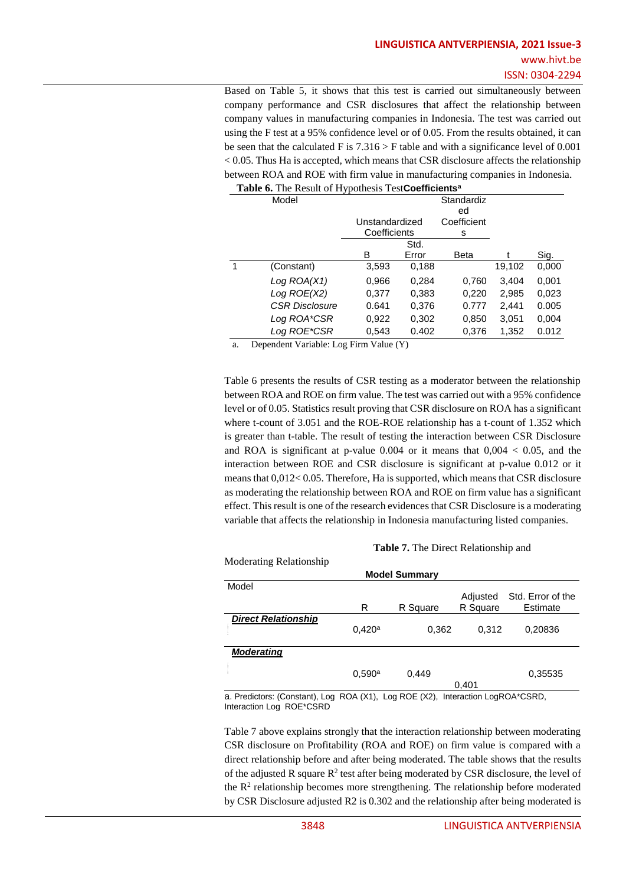Based on Table 5, it shows that this test is carried out simultaneously between company performance and CSR disclosures that affect the relationship between company values in manufacturing companies in Indonesia. The test was carried out using the F test at a 95% confidence level or of 0.05. From the results obtained, it can be seen that the calculated F is  $7.316 > F$  table and with a significance level of 0.001  $< 0.05$ . Thus Ha is accepted, which means that CSR disclosure affects the relationship between ROA and ROE with firm value in manufacturing companies in Indonesia.

| Model                 | . .            |       | Standardiz<br>ed |        |       |
|-----------------------|----------------|-------|------------------|--------|-------|
|                       | Unstandardized |       | Coefficient      |        |       |
|                       | Coefficients   |       | s                |        |       |
|                       |                | Std.  |                  |        |       |
|                       | в              | Error | Beta             |        | Sig.  |
| (Constant)            | 3,593          | 0,188 |                  | 19,102 | 0,000 |
| Log ROA(X1)           | 0.966          | 0,284 | 0,760            | 3,404  | 0,001 |
| Log ROE(X2)           | 0,377          | 0,383 | 0,220            | 2,985  | 0,023 |
| <b>CSR Disclosure</b> | 0.641          | 0,376 | 0.777            | 2,441  | 0.005 |
| Log ROA*CSR           | 0,922          | 0,302 | 0,850            | 3,051  | 0,004 |
| Log ROE*CSR           | 0.543          | 0.402 | 0,376            | 1,352  | 0.012 |

### **Table 6.** The Result of Hypothesis Test**Coefficients<sup>a</sup>**

a. Dependent Variable: Log Firm Value (Y)

Table 6 presents the results of CSR testing as a moderator between the relationship between ROA and ROE on firm value. The test was carried out with a 95% confidence level or of 0.05. Statistics result proving that CSR disclosure on ROA has a significant where t-count of 3.051 and the ROE-ROE relationship has a t-count of 1.352 which is greater than t-table. The result of testing the interaction between CSR Disclosure and ROA is significant at p-value  $0.004$  or it means that  $0.004 < 0.05$ , and the interaction between ROE and CSR disclosure is significant at p-value 0.012 or it means that 0,012< 0.05. Therefore, Ha is supported, which means that CSR disclosure as moderating the relationship between ROA and ROE on firm value has a significant effect. This result is one of the research evidences that CSR Disclosure is a moderating variable that affects the relationship in Indonesia manufacturing listed companies.

| <b>Table 7.</b> The Direct Relationship and |        |                      |          |                   |  |  |
|---------------------------------------------|--------|----------------------|----------|-------------------|--|--|
| Moderating Relationship                     |        |                      |          |                   |  |  |
|                                             |        | <b>Model Summary</b> |          |                   |  |  |
| Model                                       |        |                      |          |                   |  |  |
|                                             |        |                      | Adjusted | Std. Error of the |  |  |
|                                             | R      | R Square             | R Square | Estimate          |  |  |
| <b>Direct Relationship</b>                  |        |                      |          |                   |  |  |
|                                             | 0.420a | 0,362                | 0,312    | 0,20836           |  |  |
|                                             |        |                      |          |                   |  |  |
| <b>Moderating</b>                           |        |                      |          |                   |  |  |
|                                             |        |                      |          |                   |  |  |
|                                             | 0.590a | 0,449                |          | 0,35535           |  |  |
|                                             |        |                      | 0,401    |                   |  |  |

a. Predictors: (Constant), Log ROA (X1), Log ROE (X2), Interaction LogROA\*CSRD, Interaction Log ROE\*CSRD

Table 7 above explains strongly that the interaction relationship between moderating CSR disclosure on Profitability (ROA and ROE) on firm value is compared with a direct relationship before and after being moderated. The table shows that the results of the adjusted R square  $R^2$  test after being moderated by CSR disclosure, the level of the  $\mathbb{R}^2$  relationship becomes more strengthening. The relationship before moderated by CSR Disclosure adjusted R2 is 0.302 and the relationship after being moderated is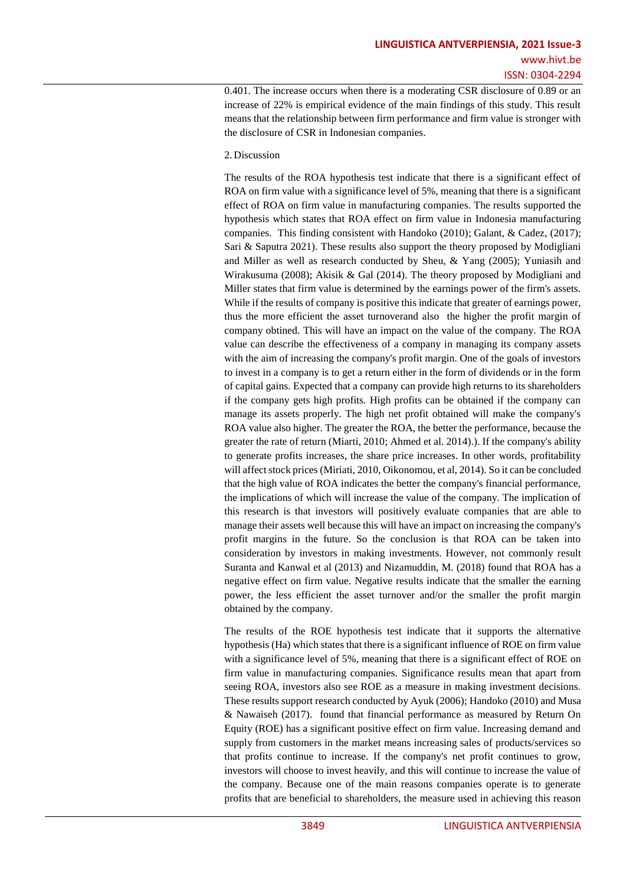0.401. The increase occurs when there is a moderating CSR disclosure of 0.89 or an increase of 22% is empirical evidence of the main findings of this study. This result means that the relationship between firm performance and firm value is stronger with the disclosure of CSR in Indonesian companies.

# 2. Discussion

The results of the ROA hypothesis test indicate that there is a significant effect of ROA on firm value with a significance level of 5%, meaning that there is a significant effect of ROA on firm value in manufacturing companies. The results supported the hypothesis which states that ROA effect on firm value in Indonesia manufacturing companies. This finding consistent with Handoko (2010); Galant, & Cadez, (2017); Sari & Saputra 2021). These results also support the theory proposed by Modigliani and Miller as well as research conducted by Sheu, & Yang (2005); Yuniasih and Wirakusuma (2008); Akisik & Gal (2014). The theory proposed by Modigliani and Miller states that firm value is determined by the earnings power of the firm's assets. While if the results of company is positive this indicate that greater of earnings power, thus the more efficient the asset turnoverand also the higher the profit margin of company obtined. This will have an impact on the value of the company. The ROA value can describe the effectiveness of a company in managing its company assets with the aim of increasing the company's profit margin. One of the goals of investors to invest in a company is to get a return either in the form of dividends or in the form of capital gains. Expected that a company can provide high returns to its shareholders if the company gets high profits. High profits can be obtained if the company can manage its assets properly. The high net profit obtained will make the company's ROA value also higher. The greater the ROA, the better the performance, because the greater the rate of return (Miarti, 2010; Ahmed et al. 2014).). If the company's ability to generate profits increases, the share price increases. In other words, profitability will affect stock prices (Miriati, 2010, Oikonomou, et al, 2014). So it can be concluded that the high value of ROA indicates the better the company's financial performance, the implications of which will increase the value of the company. The implication of this research is that investors will positively evaluate companies that are able to manage their assets well because this will have an impact on increasing the company's profit margins in the future. So the conclusion is that ROA can be taken into consideration by investors in making investments. However, not commonly result Suranta and Kanwal et al (2013) and Nizamuddin, M. (2018) found that ROA has a negative effect on firm value. Negative results indicate that the smaller the earning power, the less efficient the asset turnover and/or the smaller the profit margin obtained by the company.

The results of the ROE hypothesis test indicate that it supports the alternative hypothesis (Ha) which states that there is a significant influence of ROE on firm value with a significance level of 5%, meaning that there is a significant effect of ROE on firm value in manufacturing companies. Significance results mean that apart from seeing ROA, investors also see ROE as a measure in making investment decisions. These results support research conducted by Ayuk (2006); Handoko (2010) and Musa & Nawaiseh (2017). found that financial performance as measured by Return On Equity (ROE) has a significant positive effect on firm value. Increasing demand and supply from customers in the market means increasing sales of products/services so that profits continue to increase. If the company's net profit continues to grow, investors will choose to invest heavily, and this will continue to increase the value of the company. Because one of the main reasons companies operate is to generate profits that are beneficial to shareholders, the measure used in achieving this reason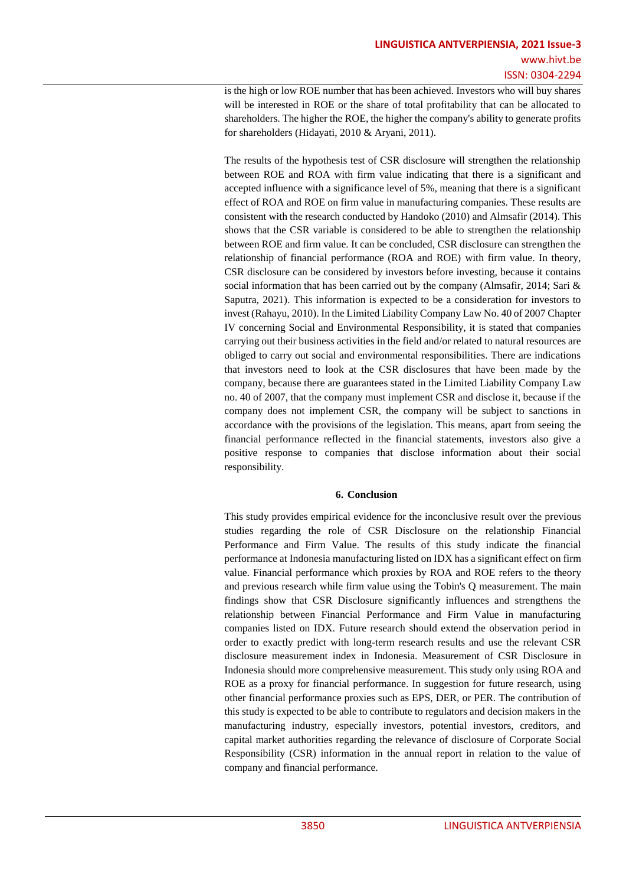is the high or low ROE number that has been achieved. Investors who will buy shares will be interested in ROE or the share of total profitability that can be allocated to shareholders. The higher the ROE, the higher the company's ability to generate profits for shareholders (Hidayati, 2010 & Aryani, 2011).

The results of the hypothesis test of CSR disclosure will strengthen the relationship between ROE and ROA with firm value indicating that there is a significant and accepted influence with a significance level of 5%, meaning that there is a significant effect of ROA and ROE on firm value in manufacturing companies. These results are consistent with the research conducted by Handoko (2010) and Almsafir (2014). This shows that the CSR variable is considered to be able to strengthen the relationship between ROE and firm value. It can be concluded, CSR disclosure can strengthen the relationship of financial performance (ROA and ROE) with firm value. In theory, CSR disclosure can be considered by investors before investing, because it contains social information that has been carried out by the company (Almsafir, 2014; Sari & Saputra, 2021). This information is expected to be a consideration for investors to invest (Rahayu, 2010). In the Limited Liability Company Law No. 40 of 2007 Chapter IV concerning Social and Environmental Responsibility, it is stated that companies carrying out their business activities in the field and/or related to natural resources are obliged to carry out social and environmental responsibilities. There are indications that investors need to look at the CSR disclosures that have been made by the company, because there are guarantees stated in the Limited Liability Company Law no. 40 of 2007, that the company must implement CSR and disclose it, because if the company does not implement CSR, the company will be subject to sanctions in accordance with the provisions of the legislation. This means, apart from seeing the financial performance reflected in the financial statements, investors also give a positive response to companies that disclose information about their social responsibility.

# **6. Conclusion**

This study provides empirical evidence for the inconclusive result over the previous studies regarding the role of CSR Disclosure on the relationship Financial Performance and Firm Value. The results of this study indicate the financial performance at Indonesia manufacturing listed on IDX has a significant effect on firm value. Financial performance which proxies by ROA and ROE refers to the theory and previous research while firm value using the Tobin's Q measurement. The main findings show that CSR Disclosure significantly influences and strengthens the relationship between Financial Performance and Firm Value in manufacturing companies listed on IDX. Future research should extend the observation period in order to exactly predict with long-term research results and use the relevant CSR disclosure measurement index in Indonesia. Measurement of CSR Disclosure in Indonesia should more comprehensive measurement. This study only using ROA and ROE as a proxy for financial performance. In suggestion for future research, using other financial performance proxies such as EPS, DER, or PER. The contribution of this study is expected to be able to contribute to regulators and decision makers in the manufacturing industry, especially investors, potential investors, creditors, and capital market authorities regarding the relevance of disclosure of Corporate Social Responsibility (CSR) information in the annual report in relation to the value of company and financial performance.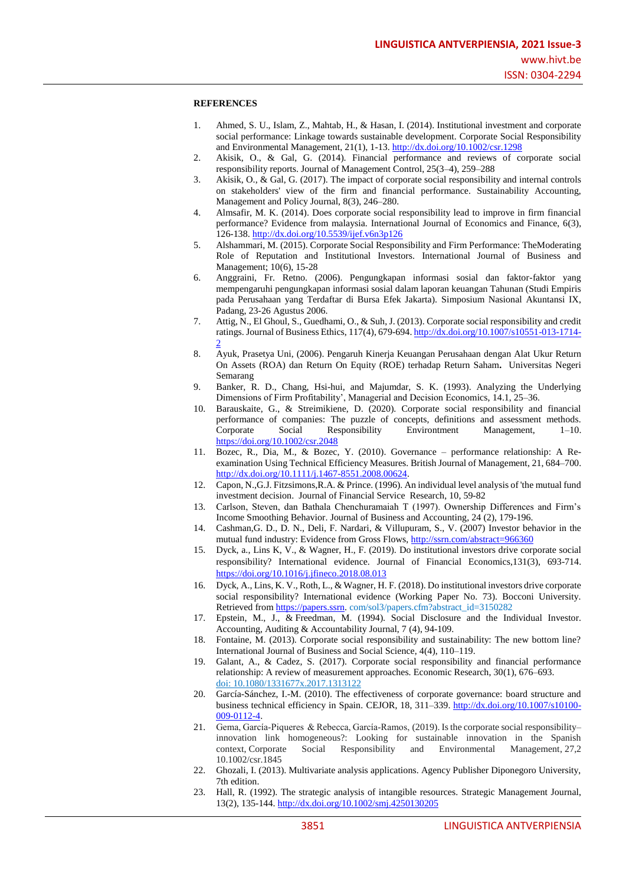#### **REFERENCES**

- 1. Ahmed, S. U., Islam, Z., Mahtab, H., & Hasan, I. (2014). Institutional investment and corporate social performance: Linkage towards sustainable development. Corporate Social Responsibility and Environmental Management, 21(1), 1-13.<http://dx.doi.org/10.1002/csr.1298>
- 2. Akisik, O., & Gal, G. (2014). Financial performance and reviews of corporate social responsibility reports. Journal of Management Control, 25(3–4), 259–288
- 3. Akisik, O., & Gal, G. (2017). The impact of corporate social responsibility and internal controls on stakeholders' view of the firm and financial performance. Sustainability Accounting, Management and Policy Journal, 8(3), 246–280.
- 4. Almsafir, M. K. (2014). Does corporate social responsibility lead to improve in firm financial performance? Evidence from malaysia. International Journal of Economics and Finance, 6(3), 126-138.<http://dx.doi.org/10.5539/ijef.v6n3p126>
- 5. Alshammari, M. (2015). Corporate Social Responsibility and Firm Performance: TheModerating Role of Reputation and Institutional Investors. International Journal of Business and Management; 10(6), 15-28
- 6. Anggraini, Fr. Retno. (2006). Pengungkapan informasi sosial dan faktor-faktor yang mempengaruhi pengungkapan informasi sosial dalam laporan keuangan Tahunan (Studi Empiris pada Perusahaan yang Terdaftar di Bursa Efek Jakarta). Simposium Nasional Akuntansi IX, Padang, 23-26 Agustus 2006.
- 7. Attig, N., El Ghoul, S., Guedhami, O., & Suh, J. (2013). Corporate social responsibility and credit ratings. Journal of Business Ethics, 117(4), 679-694[. http://dx.doi.org/10.1007/s10551-013-1714-](http://dx.doi.org/10.1007/s10551-013-1714-2) [2](http://dx.doi.org/10.1007/s10551-013-1714-2)
- 8. Ayuk, Prasetya Uni, (2006). Pengaruh Kinerja Keuangan Perusahaan dengan Alat Ukur Return On Assets (ROA) dan Return On Equity (ROE) terhadap Return Saham**.** Universitas Negeri Semarang
- 9. Banker, R. D., Chang, Hsi-hui, and Majumdar, S. K. (1993). Analyzing the Underlying Dimensions of Firm Profitability', Managerial and Decision Economics, 14.1, 25–36.
- 10. Barauskaite, G., & Streimikiene, D. (2020). Corporate social responsibility and financial performance of companies: The puzzle of concepts, definitions and assessment methods. Corporate Social Responsibility Environtment Management, 1–10. <https://doi.org/10.1002/csr.2048>
- 11. Bozec, R., Dia, M., & Bozec, Y. (2010). Governance performance relationship: A Reexamination Using Technical Efficiency Measures. British Journal of Management, 21, 684–700. [http://dx.doi.org/10.1111/j.1467-8551.2008.00624.](http://dx.doi.org/10.1111/j.1467-8551.2008.00624)
- 12. Capon, N.,G.J. Fitzsimons,R.A. & Prince. (1996). An individual level analysis of 'the mutual fund investment decision. Journal of Financial Service Research, 10, 59-82
- 13. Carlson, Steven, dan Bathala Chenchuramaiah T (1997). Ownership Differences and Firm's Income Smoothing Behavior. Journal of Business and Accounting, 24 (2), 179-196.
- 14. Cashman,G. D., D. N., Deli, F. Nardari, & Villupuram, S., V. (2007) Investor behavior in the mutual fund industry: Evidence from Gross Flows, <http://ssrn.com/abstract=966360>
- 15. Dyck, a., Lins K, V., & Wagner, H., F. (2019). Do institutional investors drive corporate social responsibility? International evidence. [Journal of Financial Economics,1](https://www.sciencedirect.com/science/journal/0304405X)31(3), 693-714. <https://doi.org/10.1016/j.jfineco.2018.08.013>
- 16. Dyck, A., Lins, K. V., Roth, L., & Wagner, H. F. (2018). Do institutional investors drive corporate social responsibility? International evidence (Working Paper No. 73). Bocconi University. Retrieved from [https://papers.ssrn.](https://papers.ssrn/) com/sol3/papers.cfm?abstract\_id=3150282
- 17. Epstein, M., J., & Freedman, M. (1994). Social Disclosure and the Individual Investor. Accounting, Auditing & Accountability Journal, 7 (4), 94-109.
- 18. Fontaine, M. (2013). Corporate social responsibility and sustainability: The new bottom line? International Journal of Business and Social Science, 4(4), 110–119.
- 19. Galant, A., & Cadez, S. (2017). Corporate social responsibility and financial performance relationship: A review of measurement approaches. Economic Research, 30(1), 676–693. doi: 10.1080/1331677x.2017.1313122
- 20. García-Sánchez, I.-M. (2010). The effectiveness of corporate governance: board structure and business technical efficiency in Spain. CEJOR, 18, 311–339. [http://dx.doi.org/10.1007/s10100-](http://dx.doi.org/10.1007/s10100-009-0112-4) [009-0112-4.](http://dx.doi.org/10.1007/s10100-009-0112-4)
- 21. Gema, García-Piqueres & Rebecca, García-Ramos, (2019). Is the corporate social responsibility– innovation link homogeneous?: Looking for sustainable innovation in the Spanish context, Corporate Social Responsibility and Environmental Management, 27,2 10.1002/csr.1845
- 22. Ghozali, I. (2013). Multivariate analysis applications. Agency Publisher Diponegoro University, 7th edition.
- 23. Hall, R. (1992). The strategic analysis of intangible resources. Strategic Management Journal, 13(2), 135-144.<http://dx.doi.org/10.1002/smj.4250130205>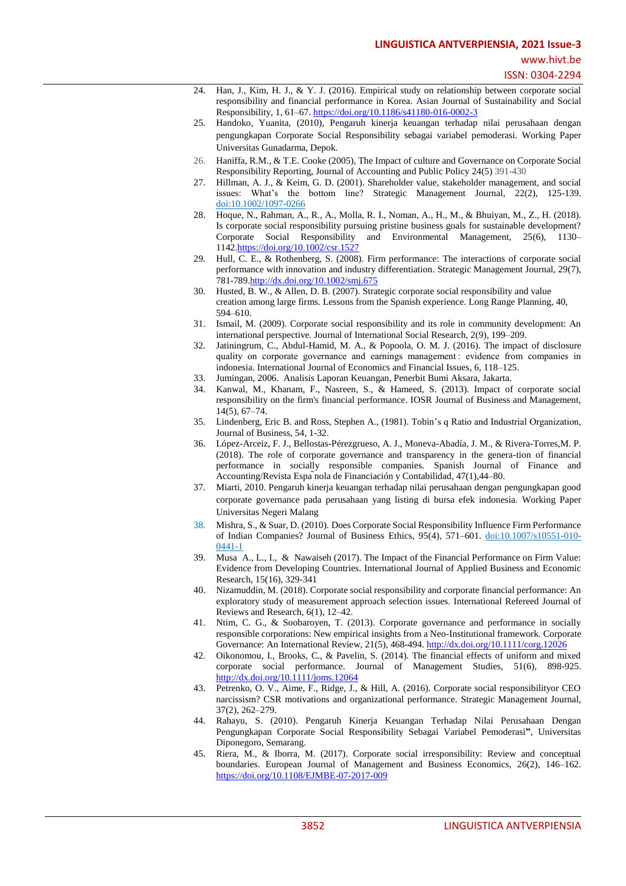- 24. Han, J., Kim, H. J., & Y. J. (2016). Empirical study on relationship between corporate social responsibility and financial performance in Korea. Asian Journal of Sustainability and Social Responsibility, 1, 61–67.<https://doi.org/10.1186/s41180-016-0002-3>
- 25. Handoko, Yuanita, (2010), Pengaruh kinerja keuangan terhadap nilai perusahaan dengan pengungkapan Corporate Social Responsibility sebagai variabel pemoderasi. Working Paper Universitas Gunadarma, Depok.
- 26. Haniffa, R.M., & T.E. Cooke (2005), The Impact of culture and Governance on Corporate Social Responsibility Reporting, Journal of Accounting and Public Policy 24(5) 391-430
- 27. Hillman, A. J., & Keim, G. D. (2001). Shareholder value, stakeholder management, and social issues: What's the bottom line? Strategic Management Journal, 22(2), 125-139. doi:10.1002/1097-0266
- 28. Hoque, N., Rahman, A., R., A., Molla, R. I., Noman, A., H., M., & Bhuiyan, M., Z., H. (2018). Is corporate social responsibility pursuing pristine business goals for sustainable development? Corporate Social Responsibility and Environmental Management, 25(6), 1130– 1142[.https://doi.org/10.1002/csr.1527](https://doi.org/10.1002/csr.1527)
- 29. Hull, C. E., & Rothenberg, S. (2008). Firm performance: The interactions of corporate social performance with innovation and industry differentiation. Strategic Management Journal, 29(7), 781-789[.http://dx.doi.org/10.1002/smj.675](http://dx.doi.org/10.1002/smj.675)
- 30. Husted, B. W., & Allen, D. B. (2007). Strategic corporate social responsibility and value creation among large firms. Lessons from the Spanish experience. Long Range Planning, 40, 594–610.
- 31. Ismail, M. (2009). Corporate social responsibility and its role in community development: An international perspective. Journal of International Social Research, 2(9), 199–209.
- 32. Jatiningrum, C., Abdul-Hamid, M. A., & Popoola, O. M. J. (2016). The impact of disclosure quality on corporate governance and earnings management : evidence from companies in indonesia. International Journal of Economics and Financial Issues, 6, 118–125.
- 33. Jumingan, 2006. Analisis Laporan Keuangan, Penerbit Bumi Aksara, Jakarta.
- 34. Kanwal, M., Khanam, F., Nasreen, S., & Hameed, S. (2013). Impact of corporate social responsibility on the firm's financial performance. IOSR Journal of Business and Management, 14(5), 67–74.
- 35. Lindenberg, Eric B. and Ross, Stephen A., (1981). Tobin's q Ratio and Industrial Organization, Journal of Business, 54, 1-32.
- 36. López-Arceiz, F. J., Bellostas-Pérezgrueso, A. J., Moneva-Abadía, J. M., & Rivera-Torres,M. P. (2018). The role of corporate governance and transparency in the genera-tion of financial performance in socially responsible companies. Spanish Journal of Finance and Accounting/Revista Espa ̃nola de Financiación y Contabilidad, 47(1),44–80.
- 37. Miarti, 2010. Pengaruh kinerja keuangan terhadap nilai perusahaan dengan pengungkapan good corporate governance pada perusahaan yang listing di bursa efek indonesia. Working Paper Universitas Negeri Malang
- 38. Mishra, S., & Suar, D. (2010). Does Corporate Social Responsibility Influence Firm Performance of Indian Companies? Journal of Business Ethics, 95(4), 571–601. doi:10.1007/s10551-010- 0441-1
- 39. Musa A., L., I., & Nawaiseh (2017). The Impact of the Financial Performance on Firm Value: Evidence from Developing Countries. International Journal of Applied Business and Economic Research, 15(16), 329-341
- 40. Nizamuddin, M. (2018). Corporate social responsibility and corporate financial performance: An exploratory study of measurement approach selection issues. International Refereed Journal of Reviews and Research, 6(1), 12–42.
- 41. Ntim, C. G., & Soobaroyen, T. (2013). Corporate governance and performance in socially responsible corporations: New empirical insights from a Neo‐Institutional framework. Corporate Governance: An International Review, 21(5), 468-494[. http://dx.doi.org/10.1111/corg.12026](http://dx.doi.org/10.1111/corg.12026)
- 42. Oikonomou, I., Brooks, C., & Pavelin, S. (2014). The financial effects of uniform and mixed corporate social performance. Journal of Management Studies, 51(6), 898-925. <http://dx.doi.org/10.1111/joms.12064>
- 43. Petrenko, O. V., Aime, F., Ridge, J., & Hill, A. (2016). Corporate social responsibilityor CEO narcissism? CSR motivations and organizational performance. Strategic Management Journal, 37(2), 262–279.
- 44. Rahayu, S. (2010). Pengaruh Kinerja Keuangan Terhadap Nilai Perusahaan Dengan Pengungkapan Corporate Social Responsibility Sebagai Variabel Pemoderasi**"**, Universitas Diponegoro, Semarang.
- 45. Riera, M., & Iborra, M. (2017). Corporate social irresponsibility: Review and conceptual boundaries. European Journal of Management and Business Economics, 26(2), 146–162. <https://doi.org/10.1108/EJMBE-07-2017-009>